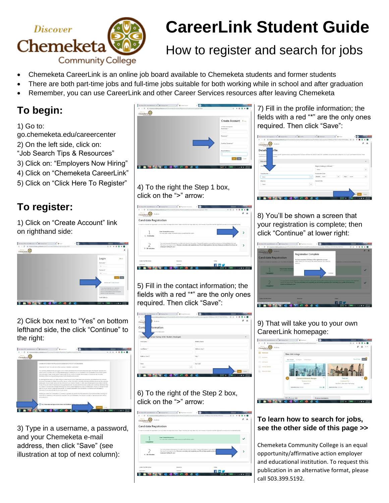

# **CareerLink Student Guide**

## How to register and search for jobs

- Chemeketa CareerLink is an online job board available to Chemeketa students and former students
- There are both part-time jobs and full-time jobs suitable for both working while in school and after graduation
- Remember, you can use CareerLink and other Career Services resources after leaving Chemeketa

### **To begin:**

1) Go to:

go.chemeketa.edu/careercenter 2) On the left side, click on:

"Job Search Tips & Resources"

3) Click on: "Employers Now Hiring"

4) Click on "Chemeketa CareerLink"

5) Click on "Click Here To Register"

### **To register:**

1) Click on "Create Account" link on righthand side:



2) Click box next to "Yes" on bottom lefthand side, the click "Continue" to the right:

| migratecand data anadea dans com/Chamakota/Candidata (Registration/Jepal/Haustage/Jos) +4056                                                                                                                                                                               |  |  |  |  |
|----------------------------------------------------------------------------------------------------------------------------------------------------------------------------------------------------------------------------------------------------------------------------|--|--|--|--|
| Chemisled                                                                                                                                                                                                                                                                  |  |  |  |  |
| CANDIDATE COMPENT AND BELEAVE FOR SUBMISSION OF DATA TO GRADULERED                                                                                                                                                                                                         |  |  |  |  |
|                                                                                                                                                                                                                                                                            |  |  |  |  |
| FLEASE NOTE THAT YOU ARE ENECUTING A LEGALLY ENGING AGREEMENT.                                                                                                                                                                                                             |  |  |  |  |
| You are being adopt to review and agree to the consent and release for submission of personal data ("the Ratasse") because your<br>rchool wither to include, add, or modify data belonging or relating to you as a condidate in the Gradianders Career Center System,      |  |  |  |  |
| The OcalLauders Canaer Canter Script is being used by your advoci to manage certain agrects of cener permons, including                                                                                                                                                    |  |  |  |  |
| fashtation of the recruiting and himo process for its students analisr alwhol.                                                                                                                                                                                             |  |  |  |  |
| By checking the box below, you agree that your schoolmay set up an Gradi assimisors account on your behalf and may authorize                                                                                                                                               |  |  |  |  |
| and direct GradLeaders to release your profile, resume, contact information, and other information that the school may also submit to<br>Gradieaties on your behalf, along with any information you submit or modify, to other users of Gradieaders in accordance with the |  |  |  |  |
| Privace Folloy and Terms of Use found on www.gradioaders.com. You also commit to review, update, and correct any information that<br>you believe to be inaccurate. Through informing your otherst and/or logging in as a Uper on GradLeaders directly or through a single  |  |  |  |  |
| sign-privile your school's career among vesture. You release Gradi earlier from any lightifs; in connection with the release pr                                                                                                                                            |  |  |  |  |
| disclosure of your personal date to you or your school.                                                                                                                                                                                                                    |  |  |  |  |
| Notifier your school nor Gradianders LLC usersing or quaranty any results from the autonomics of your personal data, including but                                                                                                                                         |  |  |  |  |
| not levited to. whether you will be hind by employers who use Gradization. The decision to accept or reject employment offers is<br>modulowie anual.                                                                                                                       |  |  |  |  |
|                                                                                                                                                                                                                                                                            |  |  |  |  |
|                                                                                                                                                                                                                                                                            |  |  |  |  |
| V Yes, I have read and agree to the terms and conditions of the al                                                                                                                                                                                                         |  |  |  |  |
|                                                                                                                                                                                                                                                                            |  |  |  |  |

3) Type in a username, a password, and your Chemeketa e-mail address, then click "Save" (see illustration at top of next column):



4) To the right the Step 1 box, click on the ">" arrow:

| M 26x(072)-loand20dchemic: X @ Employe Form | <b>Registration Instructions</b>                                                                                                                                                                                                                                                                                                    | $\mathbf{r}$   |             |  |  |          |
|---------------------------------------------|-------------------------------------------------------------------------------------------------------------------------------------------------------------------------------------------------------------------------------------------------------------------------------------------------------------------------------------|----------------|-------------|--|--|----------|
| -                                           | C # régrategandidate.org/leaders.com/Chemistra/Candidates/Authorizated/Summan/Instructions.aspx2oid=4035                                                                                                                                                                                                                            |                | 64.03<br>×. |  |  |          |
| <b>Bissen</b><br>Students<br>Chemolas       |                                                                                                                                                                                                                                                                                                                                     |                |             |  |  |          |
| <b>Candidate Registration</b>               |                                                                                                                                                                                                                                                                                                                                     |                |             |  |  |          |
|                                             | In exter to complete the registration, you must follow the steps listed below. Please note that each step takes only a few minutes of your time and the registration process can be completed quickly.                                                                                                                              |                |             |  |  |          |
| $1 - 3$ minutes                             | <b>Enter Contact Information</b><br>You reast enter contact information about yourself into the system.                                                                                                                                                                                                                             |                |             |  |  |          |
| 5 - 10 minutes                              | You must around profile quastions in order to be found in this system. These profile quastions are used by employers to find candidates that meet<br>their specific job opportunities. The more accurately and completely you fill out these questions, the more likely your profile will be found by<br>employers looking for you! |                |             |  |  |          |
| Contact the Hills School                    | Expenditure                                                                                                                                                                                                                                                                                                                         | <b>College</b> |             |  |  |          |
| <b>School Marie</b>                         | <b><i><u>Stewarter</u></i></b>                                                                                                                                                                                                                                                                                                      | $f$ in         |             |  |  |          |
|                                             |                                                                                                                                                                                                                                                                                                                                     |                |             |  |  | 11:17 AM |

5) Fill in the contact information; the fields with a red "\*" are the only ones required. Then click "Save":

| ÷                                                  |          | ٠<br>☆ ● 目<br>$\infty$<br>atacanddata.padeadan.com/Chemisita/Canddatas/ka/nentsited/Screenary/Contact/interation.ass/pkt+40555creen/s/h/7275/k/47875/d. . |
|----------------------------------------------------|----------|-----------------------------------------------------------------------------------------------------------------------------------------------------------|
| <b>Cheeser</b><br>Stydents<br>Chemel<br>Cor        |          | $\overline{z}$<br>$\Delta$                                                                                                                                |
| formation<br>Conta                                 |          |                                                                                                                                                           |
| azionia the Telli below<br>Enter your cl           |          |                                                                                                                                                           |
| contact Survey (CSO, Student, Employer)<br>Candio. |          | $\checkmark$                                                                                                                                              |
| First Name *                                       |          | Middle Marrie                                                                                                                                             |
| Last Name *                                        |          | Address Line 1                                                                                                                                            |
| Address Line 2                                     |          | $Cny$ *                                                                                                                                                   |
| Stone                                              |          | Zip Code                                                                                                                                                  |
| $-$ Select $-$                                     | $\omega$ |                                                                                                                                                           |
|                                                    |          | Carryl                                                                                                                                                    |

6) To the right of the Step 2 box, click on the ">" arrow:

| $\alpha$<br>-                      | # migratecandidate.org/leaders.com/Chemologia/Candidates/Authorizated/Summan/Instructions.aspx/told +60552nud-%76/71752a1476767d                                                                                                                         |        |  |  |  |
|------------------------------------|----------------------------------------------------------------------------------------------------------------------------------------------------------------------------------------------------------------------------------------------------------|--------|--|--|--|
| Discourse<br>Students<br>Chemeketa |                                                                                                                                                                                                                                                          |        |  |  |  |
| <b>Candidate Registration</b>      |                                                                                                                                                                                                                                                          |        |  |  |  |
|                                    | In exter to complete the registration, you must follow the steps listed below. Please note that each stay takes only a few minutes of your time and the registration process can be completed quickly.                                                   |        |  |  |  |
|                                    | <b>Enter Contact Information</b>                                                                                                                                                                                                                         |        |  |  |  |
| Completed                          | You reast enter contact information about yourself into the system.                                                                                                                                                                                      |        |  |  |  |
| 5 - 10 minutes                     | You rough arouse profile questions in order to be found in this system. These profile questions are used by-<br>their specific job opportunities. The more accurately and completely you fill not these questions, the re-<br>employers looking for you! |        |  |  |  |
|                                    |                                                                                                                                                                                                                                                          |        |  |  |  |
| Contact the HBA School             | <b>Ехоноштски</b>                                                                                                                                                                                                                                        | Follow |  |  |  |
| <b>School Status</b>               | <b><i><u>Structures</u></i></b>                                                                                                                                                                                                                          |        |  |  |  |

7) Fill in the profile information; the fields with a red "\*" are the only ones required. Then click "Save":

| M Istartite-havis approve pr. X   @ Employe Farm                                                                                                                                                                                                                   | $x + 0$      | x 8 Delboro                  | x @ Details               | × | <b>STATISTICS</b>   |         |
|--------------------------------------------------------------------------------------------------------------------------------------------------------------------------------------------------------------------------------------------------------------------|--------------|------------------------------|---------------------------|---|---------------------|---------|
| # migsategeddate.prefes.com/Oveniuta/Canddate/AuthorizateSumman/Profeshmenon.app/pd+40358.nud+5/h/717534191763455. @<br>$\leftarrow$ .<br>$\alpha$                                                                                                                 |              |                              |                           | ÷ |                     |         |
| Neoerr<br>Students<br>Chemeketa                                                                                                                                                                                                                                    |              |                              |                           |   | $\overline{z}$<br>土 |         |
| bfile<br>Detaile<br>The detailed pr<br>contains specific opertiens about your background. Employers will have the ability to search for candidates using these same categories. It is in your best interest to answer these<br><b>QUANTIQUE AL CO</b><br>possible. |              |                              |                           |   |                     |         |
| Educatio                                                                                                                                                                                                                                                           |              |                              |                           |   | $\checkmark$        |         |
| Cherry                                                                                                                                                                                                                                                             |              | Degree Seeking or Attained * |                           |   |                     |         |
|                                                                                                                                                                                                                                                                    |              | $-$ Select -                 |                           |   | v                   |         |
| Classification *                                                                                                                                                                                                                                                   |              | <b>Graduation Date</b>       |                           |   |                     |         |
| $-$ Salart $-$                                                                                                                                                                                                                                                     | $\mathbf{v}$ | Month - Salact -             | Year - Salect -<br>$\sim$ |   | $\mathbf{v}$ .      |         |
| Majorbi                                                                                                                                                                                                                                                            |              | Overall GPA                  |                           |   |                     |         |
| $-5$ elect $-$                                                                                                                                                                                                                                                     | $\checkmark$ |                              |                           |   |                     |         |
|                                                                                                                                                                                                                                                                    | e            | ۰                            | ×                         |   | Cancel              | 9:52 AM |

8) You'll be shown a screen that your registration is complete; then click "Continue" at lower right:



9) That will take you to your own CareerLink homepage:



### **To learn how to search for jobs, see the other side of this page >>**

Chemeketa Community College is an equal opportunity/affirmative action employer and educational institution. To request this publication in an alternative format, please call 503.399.5192.